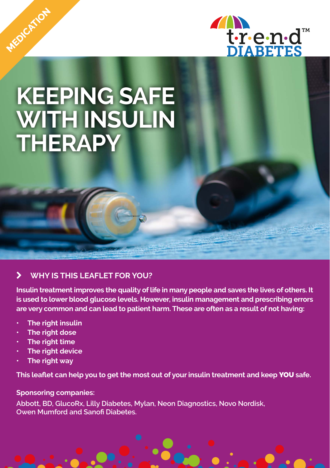

# **KEEPING SAFE WITH INSULIN THERAPY**

### k **WHY IS THIS LEAFLET FOR YOU?**

**Insulin treatment improves the quality of life in many people and saves the lives of others. It is used to lower blood glucose levels. However, insulin management and prescribing errors are very common and can lead to patient harm. These are often as a result of not having:**

- **• The right insulin**
- **• The right dose**

**MEDICATION**

- **• The right time**
- **• The right device**
- **• The right way**

**This leaflet can help you to get the most out of your insulin treatment and keep** YOU **safe.**

#### **Sponsoring companies:**

**Abbott, BD, GlucoRx, Lilly Diabetes, Mylan, Neon Diagnostics, Novo Nordisk, Owen Mumford and Sanofi Diabetes.**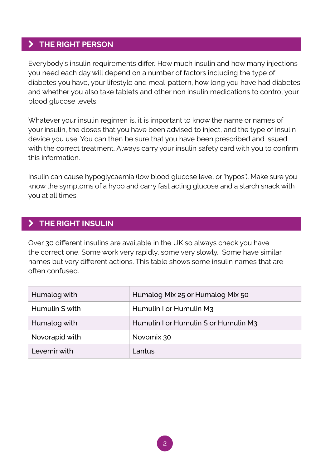## k **THE RIGHT PERSON**

Everybody's insulin requirements differ. How much insulin and how many injections you need each day will depend on a number of factors including the type of diabetes you have, your lifestyle and meal-pattern, how long you have had diabetes and whether you also take tablets and other non insulin medications to control your blood glucose levels.

Whatever your insulin regimen is, it is important to know the name or names of your insulin, the doses that you have been advised to inject, and the type of insulin device you use. You can then be sure that you have been prescribed and issued with the correct treatment. Always carry your insulin safety card with you to confirm this information.

Insulin can cause hypoglycaemia (low blood glucose level or 'hypos'). Make sure you know the symptoms of a hypo and carry fast acting glucose and a starch snack with you at all times.

### k **THE RIGHT INSULIN**

Over 30 different insulins are available in the UK so always check you have the correct one. Some work very rapidly, some very slowly. Some have similar names but very different actions. This table shows some insulin names that are often confused.

| Humalog with   | Humalog Mix 25 or Humalog Mix 50     |
|----------------|--------------------------------------|
| Humulin S with | Humulin I or Humulin M3              |
| Humalog with   | Humulin I or Humulin S or Humulin M3 |
| Novorapid with | Novomix 30                           |
| Levemir with   | Lantus                               |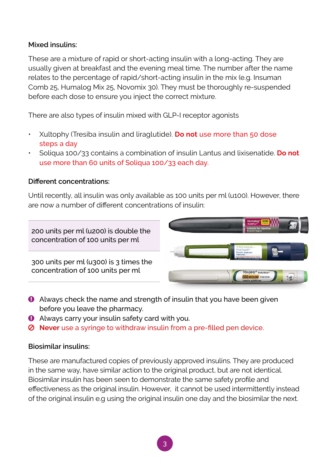#### **Mixed insulins:**

These are a mixture of rapid or short-acting insulin with a long-acting. They are usually given at breakfast and the evening meal time. The number after the name relates to the percentage of rapid/short-acting insulin in the mix (e.g. Insuman Comb 25, Humalog Mix 25, Novomix 30). They must be thoroughly re-suspended before each dose to ensure you inject the correct mixture.

There are also types of insulin mixed with GLP-I receptor agonists

- Xultophy (Tresiba insulin and liraglutide). **Do not** use more than 50 dose steps a day
- Soliqua 100/33 contains a combination of insulin Lantus and lixisenatide. **Do not** use more than 60 units of Soliqua 100/33 each day.

#### **Different concentrations:**

Until recently, all insulin was only available as 100 units per ml (u100). However, there are now a number of different concentrations of insulin:

200 units per ml (u200) is double the concentration of 100 units per ml

300 units per ml (u300) is 3 times the concentration of 100 units per ml



- **O** Always check the name and strength of insulin that you have been given before you leave the pharmacy.
- **Always carry your insulin safety card with you.**
- **2** Never use a syringe to withdraw insulin from a pre-filled pen device.

#### **Biosimilar insulins:**

These are manufactured copies of previously approved insulins. They are produced in the same way, have similar action to the original product, but are not identical. Biosimilar insulin has been seen to demonstrate the same safety profile and effectiveness as the original insulin. However, it cannot be used intermittently instead of the original insulin e.g using the original insulin one day and the biosimilar the next.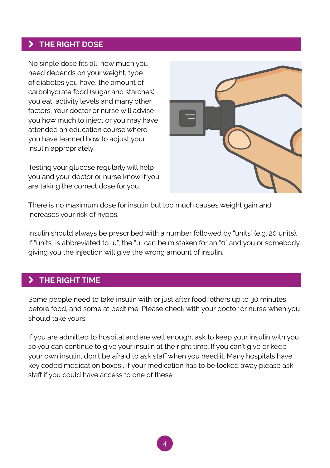#### **X** THE RIGHT DOSE

No single dose fits all: how much you need depends on your weight, type of diabetes you have, the amount of carbohydrate food (sugar and starches) you eat, activity levels and many other factors. Your doctor or nurse will advise you how much to inject or you may have attended an education course where you have learned how to adjust your insulin appropriately.

Testing your glucose regularly will help you and your doctor or nurse know if you are taking the correct dose for you.



There is no maximum dose for insulin but too much causes weight gain and increases your risk of hypos.

Insulin should always be prescribed with a number followed by "units" (e.g. 20 units). If "units" is abbreviated to "u", the "u" can be mistaken for an "0" and you or somebody giving you the injection will give the wrong amount of insulin.

#### **THE RIGHT TIME**

Some people need to take insulin with or just after food; others up to 30 minutes before food, and some at bedtime. Please check with your doctor or nurse when you should take yours.

If you are admitted to hospital and are well enough, ask to keep your insulin with you so you can continue to give your insulin at the right time. If you can't give or keep your own insulin, don't be afraid to ask staff when you need it. Many hospitals have key coded medication boxes , if your medication has to be locked away please ask staff if you could have access to one of these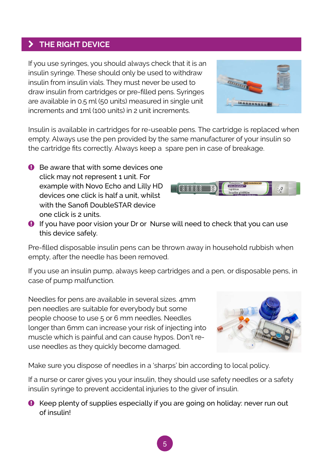# k **THE RIGHT DEVICE**

If you use syringes, you should always check that it is an insulin syringe. These should only be used to withdraw insulin from insulin vials. They must never be used to draw insulin from cartridges or pre-filled pens. Syringes are available in 0.5 ml (50 units) measured in single unit increments and 1ml (100 units) in 2 unit increments.

Insulin is available in cartridges for re-useable pens. The cartridge is replaced when empty. Always use the pen provided by the same manufacturer of your insulin so the cartridge fits correctly. Always keep a spare pen in case of breakage.

- **B** Be aware that with some devices one click may not represent 1 unit. For example with Novo Echo and Lilly HD devices one click is half a unit, whilst with the Sanofi DoubleSTAR device one click is 2 units.
- **O** If you have poor vision your Dr or Nurse will need to check that you can use this device safely.

Pre-filled disposable insulin pens can be thrown away in household rubbish when empty, after the needle has been removed.

If you use an insulin pump, always keep cartridges and a pen, or disposable pens, in case of pump malfunction.

Needles for pens are available in several sizes. 4mm pen needles are suitable for everybody but some people choose to use 5 or 6 mm needles. Needles longer than 6mm can increase your risk of injecting into muscle which is painful and can cause hypos. Don't reuse needles as they quickly become damaged.

Make sure you dispose of needles in a 'sharps' bin according to local policy.

If a nurse or carer gives you your insulin, they should use safety needles or a safety insulin syringe to prevent accidental injuries to the giver of insulin.

 $\Theta$  Keep plenty of supplies especially if you are going on holiday: never run out of insulin!







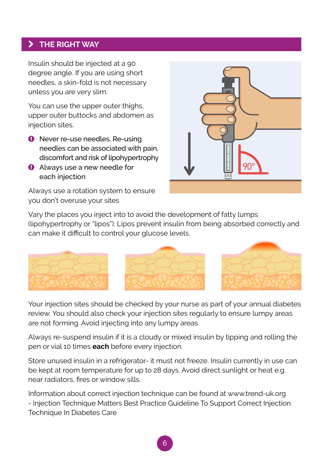## k **THE RIGHT WAY**

Insulin should be injected at a 90 degree angle. If you are using short needles, a skin-fold is not necessary unless you are very slim.

You can use the upper outer thighs, upper outer buttocks and abdomen as injection sites.

- **O** Never re-use needles. Re-using needles can be associated with pain, discomfort and risk of lipohypertrophy
- **Always use a new needle for** each injection

Always use a rotation system to ensure you don't overuse your sites



Vary the places you inject into to avoid the development of fatty lumps (lipohypertrophy or "lipos"). Lipos prevent insulin from being absorbed correctly and can make it difficult to control your glucose levels.



Your injection sites should be checked by your nurse as part of your annual diabetes review. You should also check your injection sites regularly to ensure lumpy areas are not forming. Avoid injecting into any lumpy areas

Always re-suspend insulin if it is a cloudy or mixed insulin by tipping and rolling the pen or vial 10 times **each** before every injection.

Store unused insulin in a refrigerator- it must not freeze. Insulin currently in use can be kept at room temperature for up to 28 days. Avoid direct sunlight or heat e.g. near radiators, fires or window sills.

Information about correct injection technique can be found at www.trend-uk.org - Injection Technique Matters Best Practice Guideline To Support Correct Injection Technique In Diabetes Care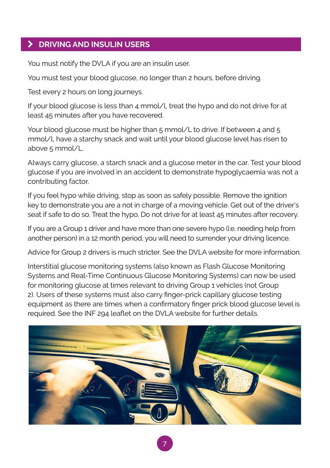## k **DRIVING AND INSULIN USERS**

You must notify the DVLA if you are an insulin user.

You must test your blood glucose, no longer than 2 hours, before driving.

Test every 2 hours on long journeys.

If your blood glucose is less than 4 mmol/l, treat the hypo and do not drive for at least 45 minutes after you have recovered.

Your blood glucose must be higher than 5 mmol/L to drive. If between 4 and 5 mmol/l, have a starchy snack and wait until your blood glucose level has risen to above 5 mmol/L.

Always carry glucose, a starch snack and a glucose meter in the car. Test your blood glucose if you are involved in an accident to demonstrate hypoglycaemia was not a contributing factor.

If you feel hypo while driving, stop as soon as safely possible. Remove the ignition key to demonstrate you are a not in charge of a moving vehicle. Get out of the driver's seat if safe to do so. Treat the hypo. Do not drive for at least 45 minutes after recovery.

If you are a Group 1 driver and have more than one severe hypo (i.e. needing help from another person) in a 12 month period, you will need to surrender your driving licence.

Advice for Group 2 drivers is much stricter. See the DVLA website for more information.

Interstitial glucose monitoring systems (also known as Flash Glucose Monitoring Systems and Real-Time Continuous Glucose Monitoring Systems) can now be used for monitoring glucose at times relevant to driving Group 1 vehicles (not Group 2). Users of these systems must also carry finger-prick capillary glucose testing equipment as there are times when a confirmatory finger prick blood glucose level is required. See the INF 294 leaflet on the DVLA website for further details.